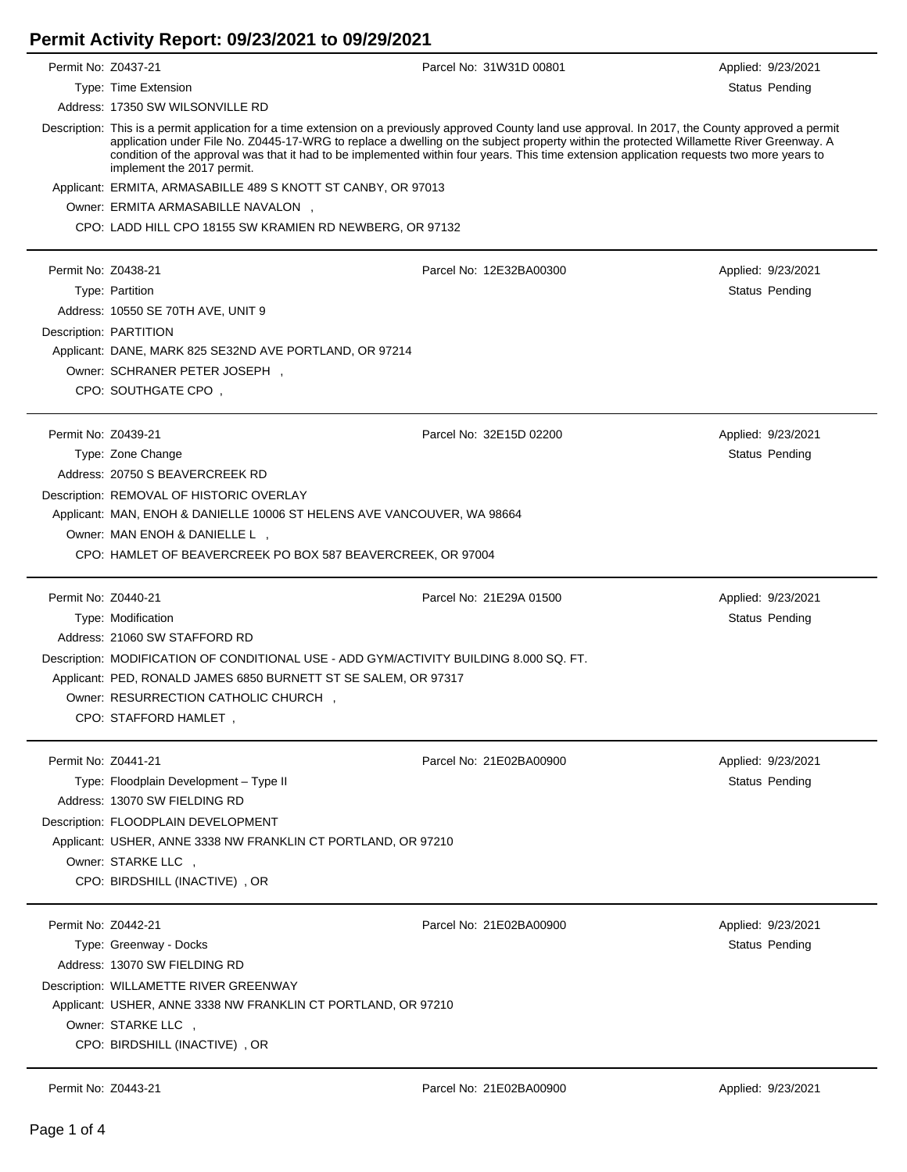## **Permit Activity Report: 09/23/2021 to 09/29/2021**

| Permit No: Z0437-21 |                                                                                                                                                                                                                                                                                                                                                                                                                                                                               | Parcel No: 31W31D 00801 | Applied: 9/23/2021 |  |  |  |  |
|---------------------|-------------------------------------------------------------------------------------------------------------------------------------------------------------------------------------------------------------------------------------------------------------------------------------------------------------------------------------------------------------------------------------------------------------------------------------------------------------------------------|-------------------------|--------------------|--|--|--|--|
|                     | Type: Time Extension                                                                                                                                                                                                                                                                                                                                                                                                                                                          |                         | Status Pending     |  |  |  |  |
|                     | Address: 17350 SW WILSONVILLE RD                                                                                                                                                                                                                                                                                                                                                                                                                                              |                         |                    |  |  |  |  |
|                     | Description: This is a permit application for a time extension on a previously approved County land use approval. In 2017, the County approved a permit<br>application under File No. Z0445-17-WRG to replace a dwelling on the subject property within the protected Willamette River Greenway. A<br>condition of the approval was that it had to be implemented within four years. This time extension application requests two more years to<br>implement the 2017 permit. |                         |                    |  |  |  |  |
|                     | Applicant: ERMITA, ARMASABILLE 489 S KNOTT ST CANBY, OR 97013                                                                                                                                                                                                                                                                                                                                                                                                                 |                         |                    |  |  |  |  |
|                     | Owner: ERMITA ARMASABILLE NAVALON,                                                                                                                                                                                                                                                                                                                                                                                                                                            |                         |                    |  |  |  |  |
|                     | CPO: LADD HILL CPO 18155 SW KRAMIEN RD NEWBERG, OR 97132                                                                                                                                                                                                                                                                                                                                                                                                                      |                         |                    |  |  |  |  |
|                     |                                                                                                                                                                                                                                                                                                                                                                                                                                                                               |                         |                    |  |  |  |  |
| Permit No: Z0438-21 |                                                                                                                                                                                                                                                                                                                                                                                                                                                                               | Parcel No: 12E32BA00300 | Applied: 9/23/2021 |  |  |  |  |
|                     | Type: Partition                                                                                                                                                                                                                                                                                                                                                                                                                                                               |                         | Status Pending     |  |  |  |  |
|                     | Address: 10550 SE 70TH AVE, UNIT 9                                                                                                                                                                                                                                                                                                                                                                                                                                            |                         |                    |  |  |  |  |
|                     | Description: PARTITION                                                                                                                                                                                                                                                                                                                                                                                                                                                        |                         |                    |  |  |  |  |
|                     | Applicant: DANE, MARK 825 SE32ND AVE PORTLAND, OR 97214                                                                                                                                                                                                                                                                                                                                                                                                                       |                         |                    |  |  |  |  |
|                     | Owner: SCHRANER PETER JOSEPH,                                                                                                                                                                                                                                                                                                                                                                                                                                                 |                         |                    |  |  |  |  |
|                     | CPO: SOUTHGATE CPO,                                                                                                                                                                                                                                                                                                                                                                                                                                                           |                         |                    |  |  |  |  |
|                     |                                                                                                                                                                                                                                                                                                                                                                                                                                                                               |                         |                    |  |  |  |  |
| Permit No: Z0439-21 |                                                                                                                                                                                                                                                                                                                                                                                                                                                                               | Parcel No: 32E15D 02200 | Applied: 9/23/2021 |  |  |  |  |
|                     | Type: Zone Change                                                                                                                                                                                                                                                                                                                                                                                                                                                             |                         | Status Pending     |  |  |  |  |
|                     | Address: 20750 S BEAVERCREEK RD                                                                                                                                                                                                                                                                                                                                                                                                                                               |                         |                    |  |  |  |  |
|                     | Description: REMOVAL OF HISTORIC OVERLAY                                                                                                                                                                                                                                                                                                                                                                                                                                      |                         |                    |  |  |  |  |
|                     | Applicant: MAN, ENOH & DANIELLE 10006 ST HELENS AVE VANCOUVER, WA 98664                                                                                                                                                                                                                                                                                                                                                                                                       |                         |                    |  |  |  |  |
|                     | Owner: MAN ENOH & DANIELLE L,                                                                                                                                                                                                                                                                                                                                                                                                                                                 |                         |                    |  |  |  |  |
|                     | CPO: HAMLET OF BEAVERCREEK PO BOX 587 BEAVERCREEK, OR 97004                                                                                                                                                                                                                                                                                                                                                                                                                   |                         |                    |  |  |  |  |
|                     |                                                                                                                                                                                                                                                                                                                                                                                                                                                                               |                         |                    |  |  |  |  |
| Permit No: Z0440-21 |                                                                                                                                                                                                                                                                                                                                                                                                                                                                               | Parcel No: 21E29A 01500 | Applied: 9/23/2021 |  |  |  |  |
|                     | Type: Modification                                                                                                                                                                                                                                                                                                                                                                                                                                                            |                         | Status Pending     |  |  |  |  |
|                     | Address: 21060 SW STAFFORD RD                                                                                                                                                                                                                                                                                                                                                                                                                                                 |                         |                    |  |  |  |  |
|                     | Description: MODIFICATION OF CONDITIONAL USE - ADD GYM/ACTIVITY BUILDING 8.000 SQ. FT.                                                                                                                                                                                                                                                                                                                                                                                        |                         |                    |  |  |  |  |
|                     | Applicant: PED, RONALD JAMES 6850 BURNETT ST SE SALEM, OR 97317                                                                                                                                                                                                                                                                                                                                                                                                               |                         |                    |  |  |  |  |
|                     | Owner: RESURRECTION CATHOLIC CHURCH,                                                                                                                                                                                                                                                                                                                                                                                                                                          |                         |                    |  |  |  |  |
|                     | CPO: STAFFORD HAMLET,                                                                                                                                                                                                                                                                                                                                                                                                                                                         |                         |                    |  |  |  |  |
|                     |                                                                                                                                                                                                                                                                                                                                                                                                                                                                               |                         |                    |  |  |  |  |
| Permit No: Z0441-21 |                                                                                                                                                                                                                                                                                                                                                                                                                                                                               | Parcel No: 21E02BA00900 | Applied: 9/23/2021 |  |  |  |  |
|                     | Type: Floodplain Development - Type II                                                                                                                                                                                                                                                                                                                                                                                                                                        |                         | Status Pending     |  |  |  |  |
|                     | Address: 13070 SW FIELDING RD                                                                                                                                                                                                                                                                                                                                                                                                                                                 |                         |                    |  |  |  |  |
|                     | Description: FLOODPLAIN DEVELOPMENT                                                                                                                                                                                                                                                                                                                                                                                                                                           |                         |                    |  |  |  |  |
|                     | Applicant: USHER, ANNE 3338 NW FRANKLIN CT PORTLAND, OR 97210                                                                                                                                                                                                                                                                                                                                                                                                                 |                         |                    |  |  |  |  |
|                     | Owner: STARKE LLC,                                                                                                                                                                                                                                                                                                                                                                                                                                                            |                         |                    |  |  |  |  |
|                     | CPO: BIRDSHILL (INACTIVE), OR                                                                                                                                                                                                                                                                                                                                                                                                                                                 |                         |                    |  |  |  |  |
|                     |                                                                                                                                                                                                                                                                                                                                                                                                                                                                               |                         |                    |  |  |  |  |
| Permit No: Z0442-21 |                                                                                                                                                                                                                                                                                                                                                                                                                                                                               | Parcel No: 21E02BA00900 | Applied: 9/23/2021 |  |  |  |  |
|                     | Type: Greenway - Docks                                                                                                                                                                                                                                                                                                                                                                                                                                                        |                         | Status Pending     |  |  |  |  |
|                     | Address: 13070 SW FIELDING RD                                                                                                                                                                                                                                                                                                                                                                                                                                                 |                         |                    |  |  |  |  |
|                     |                                                                                                                                                                                                                                                                                                                                                                                                                                                                               |                         |                    |  |  |  |  |
|                     | Description: WILLAMETTE RIVER GREENWAY                                                                                                                                                                                                                                                                                                                                                                                                                                        |                         |                    |  |  |  |  |
|                     | Applicant: USHER, ANNE 3338 NW FRANKLIN CT PORTLAND, OR 97210                                                                                                                                                                                                                                                                                                                                                                                                                 |                         |                    |  |  |  |  |
|                     | Owner: STARKE LLC,                                                                                                                                                                                                                                                                                                                                                                                                                                                            |                         |                    |  |  |  |  |
|                     | CPO: BIRDSHILL (INACTIVE), OR                                                                                                                                                                                                                                                                                                                                                                                                                                                 |                         |                    |  |  |  |  |
|                     |                                                                                                                                                                                                                                                                                                                                                                                                                                                                               |                         |                    |  |  |  |  |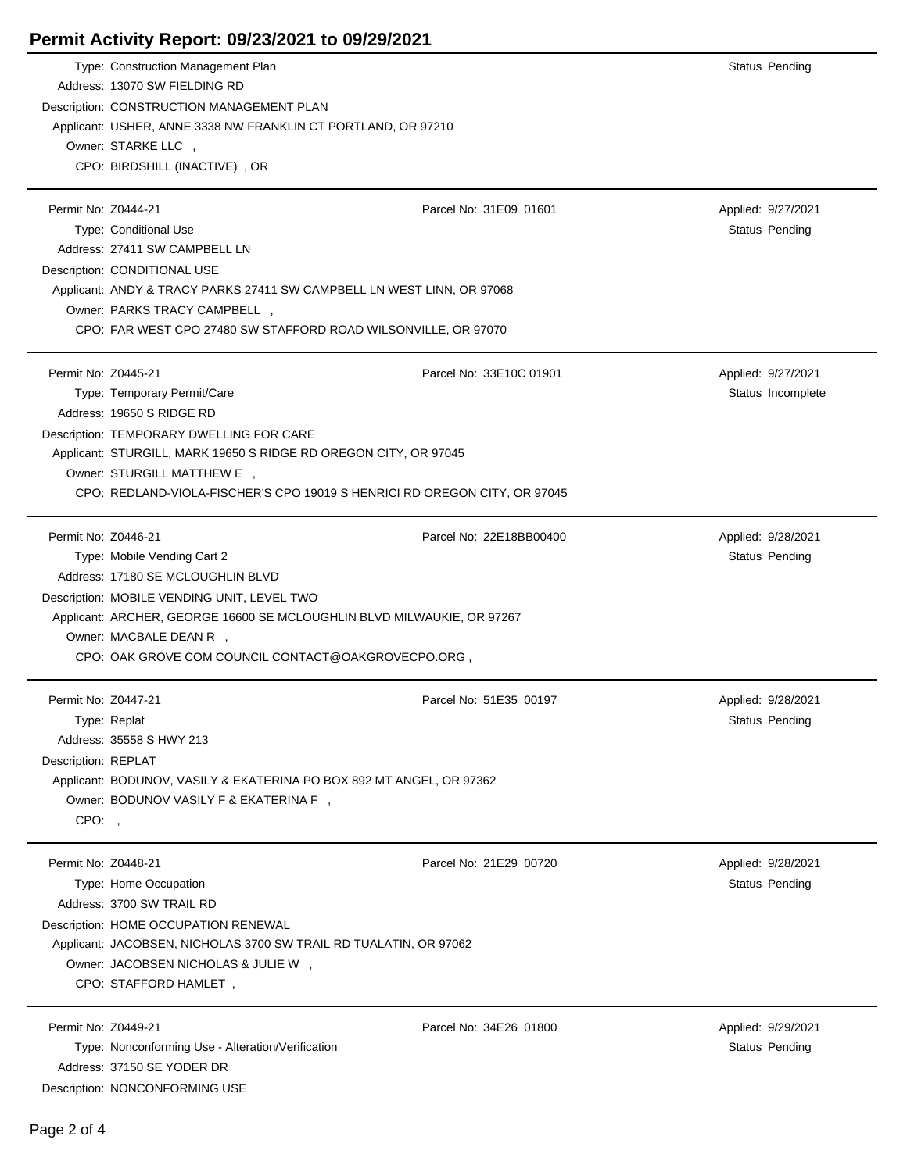| Permit Activity Report: 09/23/2021 to 09/29/2021                                                                                                                                                                                                                                                            |                         |                                             |
|-------------------------------------------------------------------------------------------------------------------------------------------------------------------------------------------------------------------------------------------------------------------------------------------------------------|-------------------------|---------------------------------------------|
| Type: Construction Management Plan<br>Address: 13070 SW FIELDING RD<br>Description: CONSTRUCTION MANAGEMENT PLAN<br>Applicant: USHER, ANNE 3338 NW FRANKLIN CT PORTLAND, OR 97210<br>Owner: STARKE LLC,<br>CPO: BIRDSHILL (INACTIVE), OR                                                                    |                         | Status Pending                              |
| Permit No: Z0444-21<br>Type: Conditional Use<br>Address: 27411 SW CAMPBELL LN<br>Description: CONDITIONAL USE<br>Applicant: ANDY & TRACY PARKS 27411 SW CAMPBELL LN WEST LINN, OR 97068<br>Owner: PARKS TRACY CAMPBELL,<br>CPO: FAR WEST CPO 27480 SW STAFFORD ROAD WILSONVILLE, OR 97070                   | Parcel No: 31E09 01601  | Applied: 9/27/2021<br><b>Status Pending</b> |
| Permit No: Z0445-21<br>Type: Temporary Permit/Care<br>Address: 19650 S RIDGE RD<br>Description: TEMPORARY DWELLING FOR CARE<br>Applicant: STURGILL, MARK 19650 S RIDGE RD OREGON CITY, OR 97045<br>Owner: STURGILL MATTHEW E ,<br>CPO: REDLAND-VIOLA-FISCHER'S CPO 19019 S HENRICI RD OREGON CITY, OR 97045 | Parcel No: 33E10C 01901 | Applied: 9/27/2021<br>Status Incomplete     |
| Permit No: Z0446-21<br>Type: Mobile Vending Cart 2<br>Address: 17180 SE MCLOUGHLIN BLVD<br>Description: MOBILE VENDING UNIT, LEVEL TWO<br>Applicant: ARCHER, GEORGE 16600 SE MCLOUGHLIN BLVD MILWAUKIE, OR 97267<br>Owner: MACBALE DEAN R ,<br>CPO: OAK GROVE COM COUNCIL CONTACT@OAKGROVECPO.ORG,          | Parcel No: 22E18BB00400 | Applied: 9/28/2021<br>Status Pending        |
| Permit No: Z0447-21<br>Type: Replat<br>Address: 35558 S HWY 213<br>Description: REPLAT<br>Applicant: BODUNOV, VASILY & EKATERINA PO BOX 892 MT ANGEL, OR 97362<br>Owner: BODUNOV VASILY F & EKATERINA F,<br>CPO:,                                                                                           | Parcel No: 51E35 00197  | Applied: 9/28/2021<br>Status Pending        |
| Permit No: Z0448-21<br>Type: Home Occupation<br>Address: 3700 SW TRAIL RD<br>Description: HOME OCCUPATION RENEWAL<br>Applicant: JACOBSEN, NICHOLAS 3700 SW TRAIL RD TUALATIN, OR 97062<br>Owner: JACOBSEN NICHOLAS & JULIE W ,<br>CPO: STAFFORD HAMLET,                                                     | Parcel No: 21E29 00720  | Applied: 9/28/2021<br><b>Status Pending</b> |
| Permit No: Z0449-21<br>Type: Nonconforming Use - Alteration/Verification<br>Address: 37150 SE YODER DR<br>Description: NONCONFORMING USE                                                                                                                                                                    | Parcel No: 34E26 01800  | Applied: 9/29/2021<br>Status Pending        |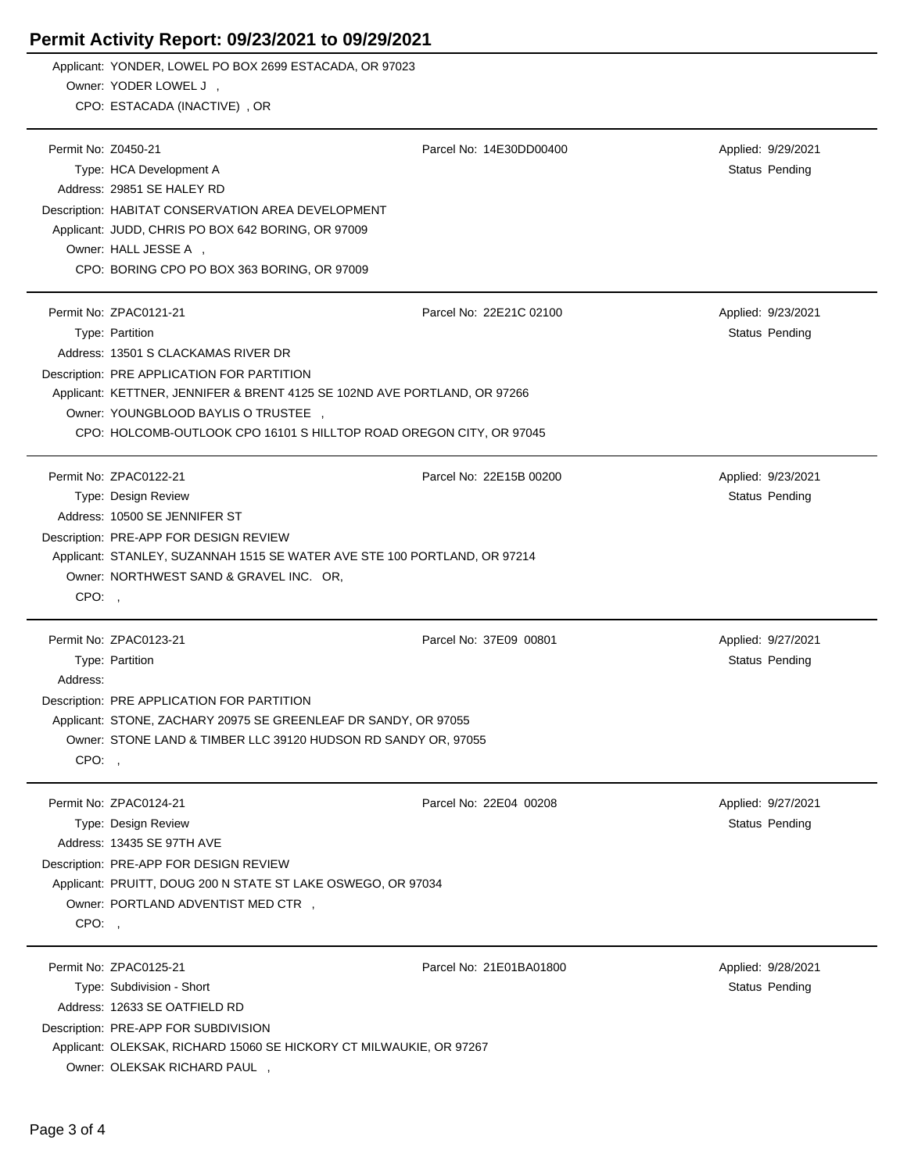## **Permit Activity Report: 09/23/2021 to 09/29/2021**

|                     | Applicant: YONDER, LOWEL PO BOX 2699 ESTACADA, OR 97023                   |                         |                    |  |  |
|---------------------|---------------------------------------------------------------------------|-------------------------|--------------------|--|--|
|                     | Owner: YODER LOWEL J,                                                     |                         |                    |  |  |
|                     | CPO: ESTACADA (INACTIVE), OR                                              |                         |                    |  |  |
| Permit No: Z0450-21 |                                                                           | Parcel No: 14E30DD00400 | Applied: 9/29/2021 |  |  |
|                     | Type: HCA Development A                                                   |                         | Status Pending     |  |  |
|                     | Address: 29851 SE HALEY RD                                                |                         |                    |  |  |
|                     |                                                                           |                         |                    |  |  |
|                     | Description: HABITAT CONSERVATION AREA DEVELOPMENT                        |                         |                    |  |  |
|                     | Applicant: JUDD, CHRIS PO BOX 642 BORING, OR 97009                        |                         |                    |  |  |
|                     | Owner: HALL JESSE A,<br>CPO: BORING CPO PO BOX 363 BORING, OR 97009       |                         |                    |  |  |
|                     |                                                                           |                         |                    |  |  |
|                     | Permit No: ZPAC0121-21                                                    | Parcel No: 22E21C 02100 | Applied: 9/23/2021 |  |  |
|                     | Type: Partition                                                           |                         | Status Pending     |  |  |
|                     | Address: 13501 S CLACKAMAS RIVER DR                                       |                         |                    |  |  |
|                     | Description: PRE APPLICATION FOR PARTITION                                |                         |                    |  |  |
|                     | Applicant: KETTNER, JENNIFER & BRENT 4125 SE 102ND AVE PORTLAND, OR 97266 |                         |                    |  |  |
|                     | Owner: YOUNGBLOOD BAYLIS O TRUSTEE,                                       |                         |                    |  |  |
|                     | CPO: HOLCOMB-OUTLOOK CPO 16101 S HILLTOP ROAD OREGON CITY, OR 97045       |                         |                    |  |  |
|                     |                                                                           |                         |                    |  |  |
|                     | Permit No: ZPAC0122-21                                                    | Parcel No: 22E15B 00200 | Applied: 9/23/2021 |  |  |
|                     | Type: Design Review                                                       |                         | Status Pending     |  |  |
|                     | Address: 10500 SE JENNIFER ST                                             |                         |                    |  |  |
|                     | Description: PRE-APP FOR DESIGN REVIEW                                    |                         |                    |  |  |
|                     | Applicant: STANLEY, SUZANNAH 1515 SE WATER AVE STE 100 PORTLAND, OR 97214 |                         |                    |  |  |
|                     | Owner: NORTHWEST SAND & GRAVEL INC. OR,                                   |                         |                    |  |  |
| CPO:,               |                                                                           |                         |                    |  |  |
|                     |                                                                           |                         |                    |  |  |
|                     | Permit No: ZPAC0123-21                                                    | Parcel No: 37E09 00801  | Applied: 9/27/2021 |  |  |
|                     | Type: Partition                                                           |                         | Status Pending     |  |  |
| Address:            |                                                                           |                         |                    |  |  |
|                     | Description: PRE APPLICATION FOR PARTITION                                |                         |                    |  |  |
|                     | Applicant: STONE, ZACHARY 20975 SE GREENLEAF DR SANDY, OR 97055           |                         |                    |  |  |
|                     | Owner: STONE LAND & TIMBER LLC 39120 HUDSON RD SANDY OR, 97055            |                         |                    |  |  |
| CPO:                |                                                                           |                         |                    |  |  |
|                     | Permit No: ZPAC0124-21                                                    | Parcel No: 22E04 00208  | Applied: 9/27/2021 |  |  |
|                     | Type: Design Review                                                       |                         | Status Pending     |  |  |
|                     | Address: 13435 SE 97TH AVE                                                |                         |                    |  |  |
|                     | Description: PRE-APP FOR DESIGN REVIEW                                    |                         |                    |  |  |
|                     | Applicant: PRUITT, DOUG 200 N STATE ST LAKE OSWEGO, OR 97034              |                         |                    |  |  |
|                     | Owner: PORTLAND ADVENTIST MED CTR ,                                       |                         |                    |  |  |
| CPO:,               |                                                                           |                         |                    |  |  |
|                     |                                                                           |                         |                    |  |  |
|                     | Permit No: ZPAC0125-21                                                    | Parcel No: 21E01BA01800 | Applied: 9/28/2021 |  |  |
|                     | Type: Subdivision - Short                                                 |                         | Status Pending     |  |  |
|                     | Address: 12633 SE OATFIELD RD                                             |                         |                    |  |  |
|                     | Description: PRE-APP FOR SUBDIVISION                                      |                         |                    |  |  |
|                     | Applicant: OLEKSAK, RICHARD 15060 SE HICKORY CT MILWAUKIE, OR 97267       |                         |                    |  |  |

Owner: OLEKSAK RICHARD PAUL ,